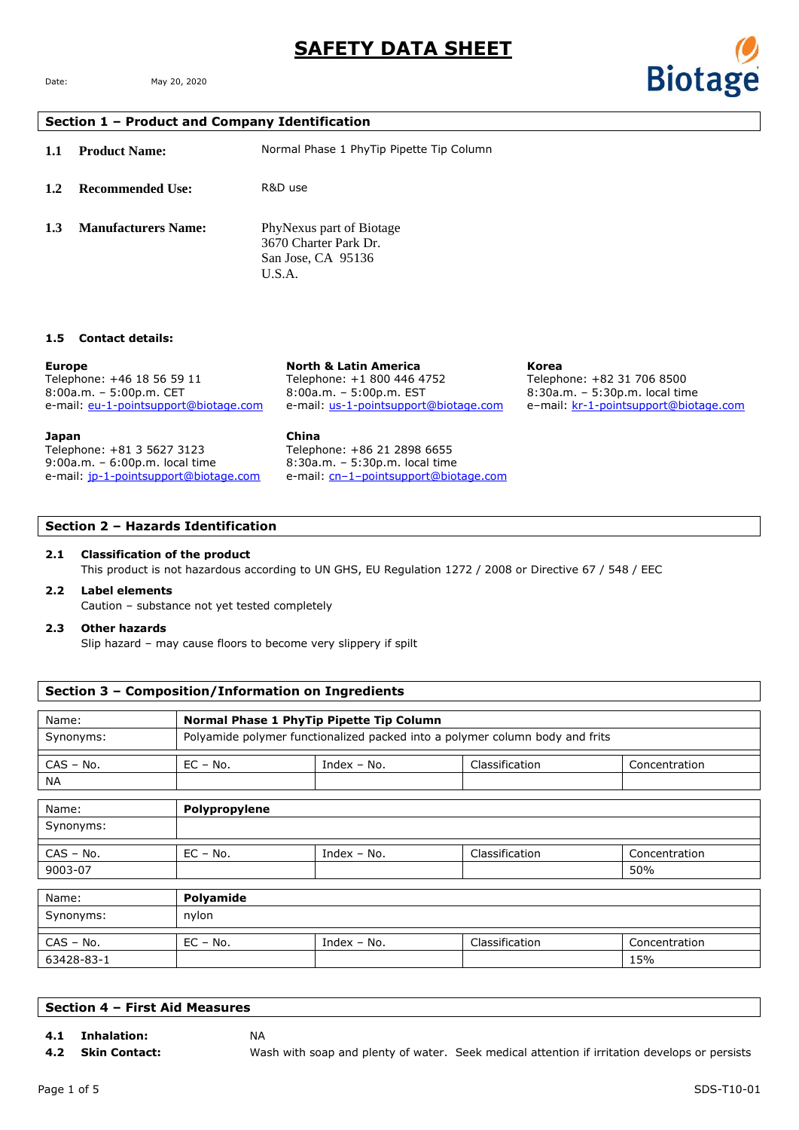# **SAFETY DATA SHEET**

Date: May 20, 2020

**Biotage** 

### **Section 1 – Product and Company Identification**

**1.1 Product Name:** Normal Phase 1 PhyTip Pipette Tip Column **1.2 Recommended Use:** R&D use **1.3 Manufacturers Name:** PhyNexus part of Biotage 3670 Charter Park Dr. San Jose, CA 95136 U.S.A.

#### **1.5 Contact details:**

| <b>Europe</b><br>Telephone: +46 18 56 59 11<br>$8:00a.m. - 5:00p.m.$ CET<br>e-mail: eu-1-pointsupport@biotage.com | <b>North &amp; Latin America</b><br>Telephone: +1 800 446 4752<br>$8:00a.m. - 5:00p.m. EST$<br>e-mail: us-1-pointsupport@biotage.com | Korea<br>Telephone: +82 31 706 8500<br>8:30a.m. - 5:30p.m. local time<br>e-mail: kr-1-pointsupport@biotage.com |
|-------------------------------------------------------------------------------------------------------------------|--------------------------------------------------------------------------------------------------------------------------------------|----------------------------------------------------------------------------------------------------------------|
| Japan                                                                                                             | China                                                                                                                                |                                                                                                                |
| Telephone: +81 3 5627 3123<br>$9:00a.m. - 6:00p.m.$ local time<br>e-mail: jp-1-pointsupport@biotage.com           | Telephone: +86 21 2898 6655<br>8:30a.m. - 5:30p.m. local time<br>e-mail: cn-1-pointsupport@biotage.com                               |                                                                                                                |

#### **Section 2 – Hazards Identification**

#### **2.1 Classification of the product**

This product is not hazardous according to UN GHS, EU Regulation 1272 / 2008 or Directive 67 / 548 / EEC

#### **2.2 Label elements**

Caution – substance not yet tested completely

#### **2.3 Other hazards**

Slip hazard – may cause floors to become very slippery if spilt

# **Section 3 – Composition/Information on Ingredients**

| Name:       | Normal Phase 1 PhyTip Pipette Tip Column                                     |               |                |               |
|-------------|------------------------------------------------------------------------------|---------------|----------------|---------------|
| Synonyms:   | Polyamide polymer functionalized packed into a polymer column body and frits |               |                |               |
| $CAS - No.$ | $EC - No.$                                                                   | Index $-$ No. | Classification | Concentration |
| NА          |                                                                              |               |                |               |
| Name:       | Polypropylene                                                                |               |                |               |
| Synonyms:   |                                                                              |               |                |               |
| $CAS - No.$ | $EC - No.$                                                                   | Index $-$ No. | Classification | Concentration |
| 9003-07     |                                                                              |               |                | 50%           |
| Name:       | Polyamide                                                                    |               |                |               |
| Synonyms:   | nylon                                                                        |               |                |               |
| $CAS - No.$ | $EC - No.$                                                                   | Index $-$ No. | Classification | Concentration |
| 63428-83-1  |                                                                              |               |                | 15%           |

# **Section 4 – First Aid Measures**

**4.1 Inhalation:** NA

**4.2 Skin Contact:** Wash with soap and plenty of water. Seek medical attention if irritation develops or persists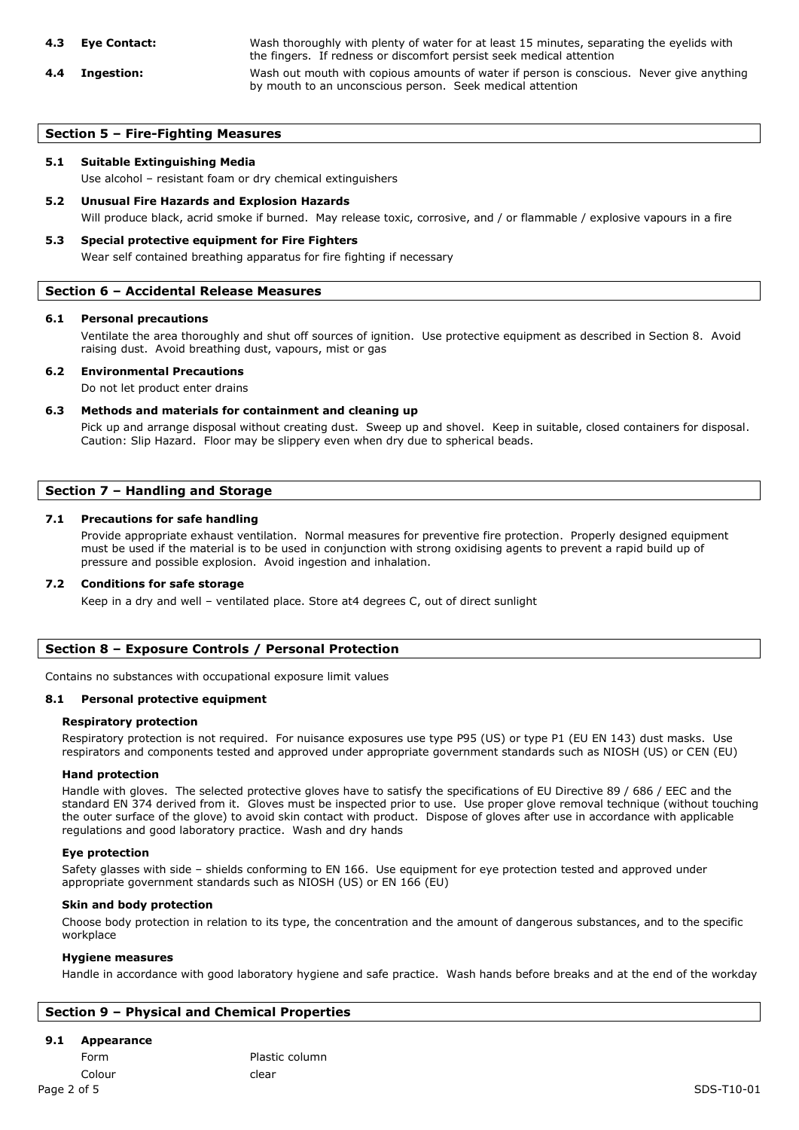**4.3 Eye Contact:** Wash thoroughly with plenty of water for at least 15 minutes, separating the eyelids with the fingers. If redness or discomfort persist seek medical attention **4.4 Ingestion:** Wash out mouth with copious amounts of water if person is conscious. Never give anything by mouth to an unconscious person. Seek medical attention

# **Section 5 – Fire-Fighting Measures**

# **5.1 Suitable Extinguishing Media**

Use alcohol – resistant foam or dry chemical extinguishers

**5.2 Unusual Fire Hazards and Explosion Hazards** Will produce black, acrid smoke if burned. May release toxic, corrosive, and / or flammable / explosive vapours in a fire

#### **5.3 Special protective equipment for Fire Fighters**

Wear self contained breathing apparatus for fire fighting if necessary

#### **Section 6 – Accidental Release Measures**

#### **6.1 Personal precautions**

Ventilate the area thoroughly and shut off sources of ignition. Use protective equipment as described in Section 8. Avoid raising dust. Avoid breathing dust, vapours, mist or gas

#### **6.2 Environmental Precautions**

Do not let product enter drains

#### **6.3 Methods and materials for containment and cleaning up**

Pick up and arrange disposal without creating dust. Sweep up and shovel. Keep in suitable, closed containers for disposal. Caution: Slip Hazard. Floor may be slippery even when dry due to spherical beads.

### **Section 7 – Handling and Storage**

#### **7.1 Precautions for safe handling**

Provide appropriate exhaust ventilation. Normal measures for preventive fire protection. Properly designed equipment must be used if the material is to be used in conjunction with strong oxidising agents to prevent a rapid build up of pressure and possible explosion. Avoid ingestion and inhalation.

#### **7.2 Conditions for safe storage**

Keep in a dry and well – ventilated place. Store at4 degrees C, out of direct sunlight

### **Section 8 – Exposure Controls / Personal Protection**

Contains no substances with occupational exposure limit values

#### **8.1 Personal protective equipment**

#### **Respiratory protection**

Respiratory protection is not required. For nuisance exposures use type P95 (US) or type P1 (EU EN 143) dust masks. Use respirators and components tested and approved under appropriate government standards such as NIOSH (US) or CEN (EU)

#### **Hand protection**

Handle with gloves. The selected protective gloves have to satisfy the specifications of EU Directive 89 / 686 / EEC and the standard EN 374 derived from it. Gloves must be inspected prior to use. Use proper glove removal technique (without touching the outer surface of the glove) to avoid skin contact with product. Dispose of gloves after use in accordance with applicable regulations and good laboratory practice. Wash and dry hands

#### **Eye protection**

Safety glasses with side – shields conforming to EN 166. Use equipment for eye protection tested and approved under appropriate government standards such as NIOSH (US) or EN 166 (EU)

#### **Skin and body protection**

Choose body protection in relation to its type, the concentration and the amount of dangerous substances, and to the specific workplace

#### **Hygiene measures**

Handle in accordance with good laboratory hygiene and safe practice. Wash hands before breaks and at the end of the workday

### **Section 9 – Physical and Chemical Properties**

**9.1 Appearance**

Colour clear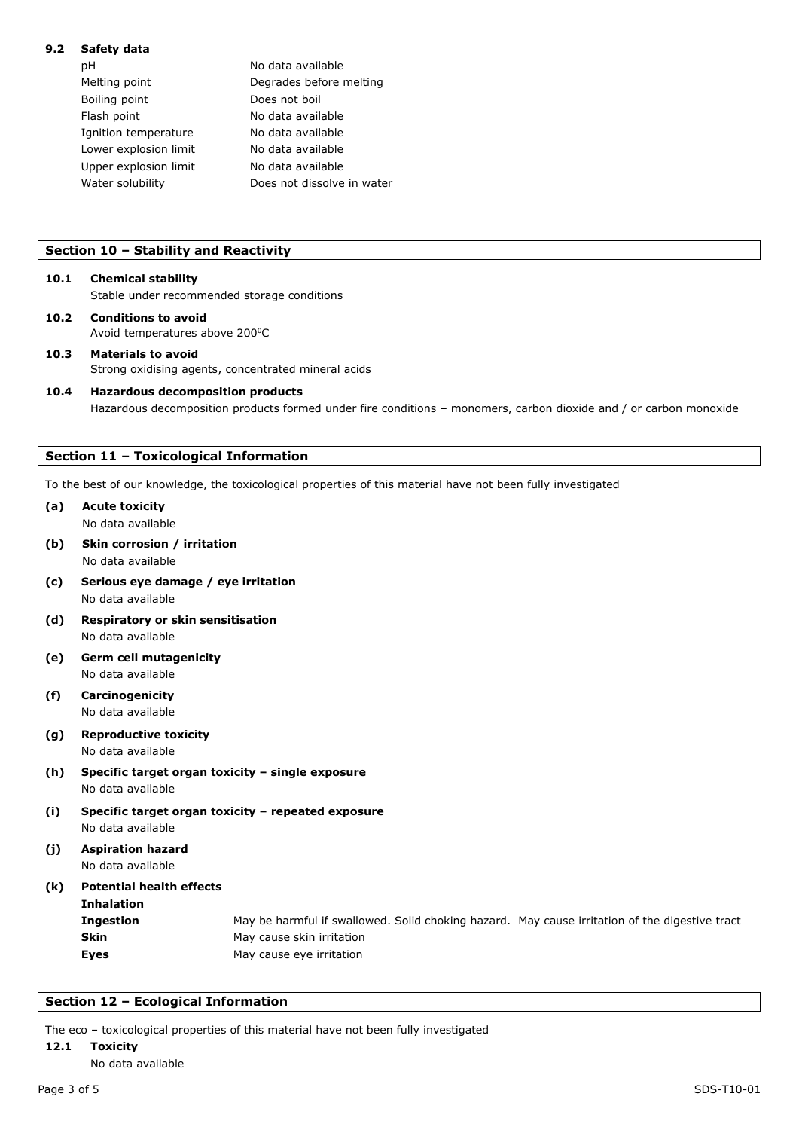#### **9.2 Safety data**

| рH                    | No data available          |
|-----------------------|----------------------------|
| Melting point         | Degrades before melting    |
| Boiling point         | Does not boil              |
| Flash point           | No data available          |
| Ignition temperature  | No data available          |
| Lower explosion limit | No data available          |
| Upper explosion limit | No data available          |
| Water solubility      | Does not dissolve in water |
|                       |                            |

# **Section 10 – Stability and Reactivity**

### **10.1 Chemical stability**

Stable under recommended storage conditions

- **10.2 Conditions to avoid** Avoid temperatures above 200°C
- **10.3 Materials to avoid** Strong oxidising agents, concentrated mineral acids

# **10.4 Hazardous decomposition products** Hazardous decomposition products formed under fire conditions – monomers, carbon dioxide and / or carbon monoxide

# **Section 11 – Toxicological Information**

To the best of our knowledge, the toxicological properties of this material have not been fully investigated

# **(a) Acute toxicity** No data available **(b) Skin corrosion / irritation** No data available **(c) Serious eye damage / eye irritation** No data available **(d) Respiratory or skin sensitisation** No data available **(e) Germ cell mutagenicity** No data available **(f) Carcinogenicity** No data available **(g) Reproductive toxicity** No data available **(h) Specific target organ toxicity – single exposure** No data available **(i) Specific target organ toxicity – repeated exposure** No data available **(j) Aspiration hazard** No data available **(k) Potential health effects Inhalation Ingestion** May be harmful if swallowed. Solid choking hazard. May cause irritation of the digestive tract **Skin** May cause skin irritation **Eyes** May cause eye irritation

# **Section 12 – Ecological Information**

The eco – toxicological properties of this material have not been fully investigated

# **12.1 Toxicity**

No data available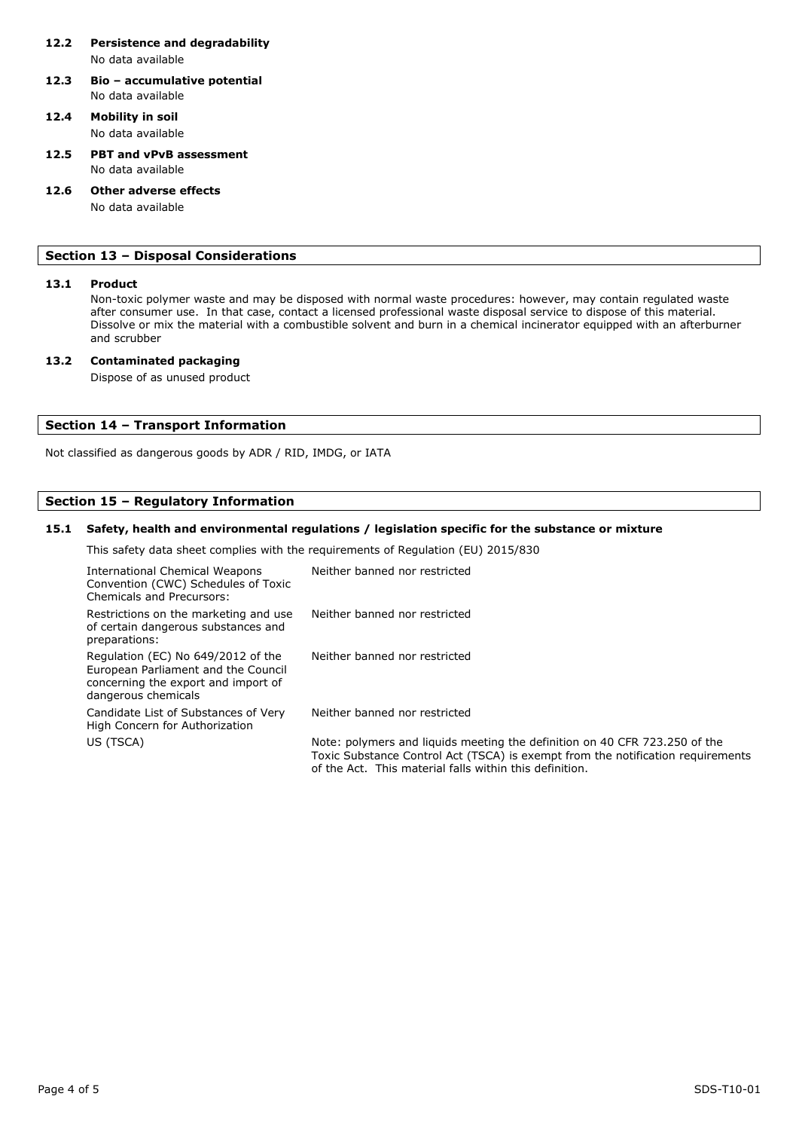## **12.2 Persistence and degradability**

No data available

- **12.3 Bio – accumulative potential** No data available
- **12.4 Mobility in soil**
	- No data available
- **12.5 PBT and vPvB assessment** No data available
- **12.6 Other adverse effects**

No data available

#### **Section 13 – Disposal Considerations**

#### **13.1 Product**

Non-toxic polymer waste and may be disposed with normal waste procedures: however, may contain regulated waste after consumer use. In that case, contact a licensed professional waste disposal service to dispose of this material. Dissolve or mix the material with a combustible solvent and burn in a chemical incinerator equipped with an afterburner and scrubber

#### **13.2 Contaminated packaging**

Dispose of as unused product

#### **Section 14 – Transport Information**

Not classified as dangerous goods by ADR / RID, IMDG, or IATA

#### **Section 15 – Regulatory Information**

#### **15.1 Safety, health and environmental regulations / legislation specific for the substance or mixture**

This safety data sheet complies with the requirements of Regulation (EU) 2015/830

| <b>International Chemical Weapons</b><br>Convention (CWC) Schedules of Toxic<br>Chemicals and Precursors:                               | Neither banned nor restricted                                                                                                                                                                                            |
|-----------------------------------------------------------------------------------------------------------------------------------------|--------------------------------------------------------------------------------------------------------------------------------------------------------------------------------------------------------------------------|
| Restrictions on the marketing and use<br>of certain dangerous substances and<br>preparations:                                           | Neither banned nor restricted                                                                                                                                                                                            |
| Regulation (EC) No 649/2012 of the<br>European Parliament and the Council<br>concerning the export and import of<br>dangerous chemicals | Neither banned nor restricted                                                                                                                                                                                            |
| Candidate List of Substances of Very<br>High Concern for Authorization                                                                  | Neither banned nor restricted                                                                                                                                                                                            |
| US (TSCA)                                                                                                                               | Note: polymers and liquids meeting the definition on 40 CFR 723.250 of the<br>Toxic Substance Control Act (TSCA) is exempt from the notification requirements<br>of the Act. This material falls within this definition. |